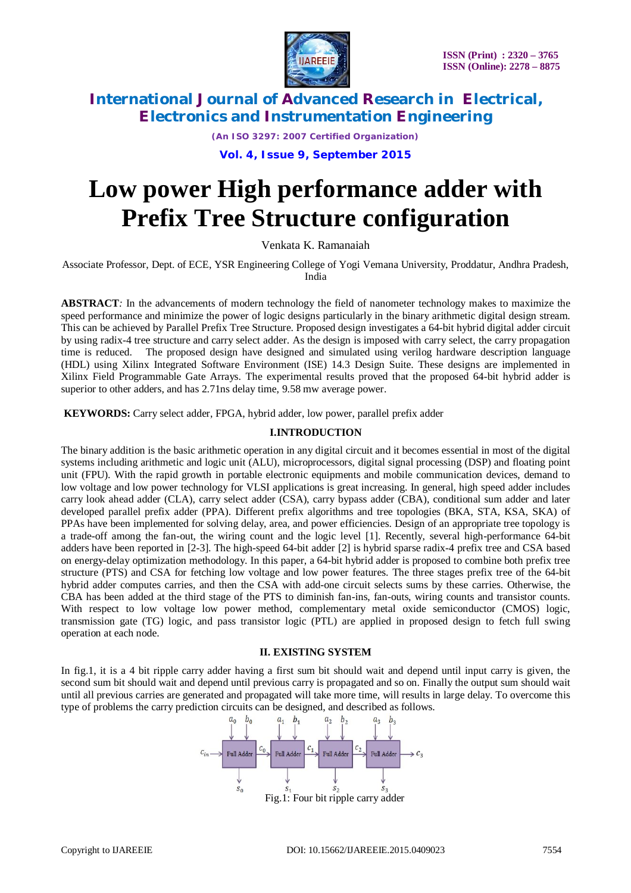

*(An ISO 3297: 2007 Certified Organization)*

**Vol. 4, Issue 9, September 2015**

# **Low power High performance adder with Prefix Tree Structure configuration**

Venkata K. Ramanaiah

Associate Professor, Dept. of ECE, YSR Engineering College of Yogi Vemana University, Proddatur, Andhra Pradesh, India

**ABSTRACT***:* In the advancements of modern technology the field of nanometer technology makes to maximize the speed performance and minimize the power of logic designs particularly in the binary arithmetic digital design stream. This can be achieved by Parallel Prefix Tree Structure. Proposed design investigates a 64-bit hybrid digital adder circuit by using radix-4 tree structure and carry select adder. As the design is imposed with carry select, the carry propagation time is reduced. The proposed design have designed and simulated using verilog hardware description language (HDL) using Xilinx Integrated Software Environment (ISE) 14.3 Design Suite. These designs are implemented in Xilinx Field Programmable Gate Arrays. The experimental results proved that the proposed 64-bit hybrid adder is superior to other adders, and has 2.71ns delay time, 9.58 mw average power.

**KEYWORDS:** Carry select adder, FPGA, hybrid adder, low power, parallel prefix adder

## **I.INTRODUCTION**

The binary addition is the basic arithmetic operation in any digital circuit and it becomes essential in most of the digital systems including arithmetic and logic unit (ALU), microprocessors, digital signal processing (DSP) and floating point unit (FPU). With the rapid growth in portable electronic equipments and mobile communication devices, demand to low voltage and low power technology for VLSI applications is great increasing. In general, high speed adder includes carry look ahead adder (CLA), carry select adder (CSA), carry bypass adder (CBA), conditional sum adder and later developed parallel prefix adder (PPA). Different prefix algorithms and tree topologies (BKA, STA, KSA, SKA) of PPAs have been implemented for solving delay, area, and power efficiencies. Design of an appropriate tree topology is a trade-off among the fan-out, the wiring count and the logic level [1]. Recently, several high-performance 64-bit adders have been reported in [2-3]. The high-speed 64-bit adder [2] is hybrid sparse radix-4 prefix tree and CSA based on energy-delay optimization methodology. In this paper, a 64-bit hybrid adder is proposed to combine both prefix tree structure (PTS) and CSA for fetching low voltage and low power features. The three stages prefix tree of the 64-bit hybrid adder computes carries, and then the CSA with add-one circuit selects sums by these carries. Otherwise, the CBA has been added at the third stage of the PTS to diminish fan-ins, fan-outs, wiring counts and transistor counts. With respect to low voltage low power method, complementary metal oxide semiconductor (CMOS) logic, transmission gate (TG) logic, and pass transistor logic (PTL) are applied in proposed design to fetch full swing operation at each node.

### **II. EXISTING SYSTEM**

In fig.1, it is a 4 bit ripple carry adder having a first sum bit should wait and depend until input carry is given, the second sum bit should wait and depend until previous carry is propagated and so on. Finally the output sum should wait until all previous carries are generated and propagated will take more time, will results in large delay. To overcome this type of problems the carry prediction circuits can be designed, and described as follows.<br>  $a_0$   $b_0$   $a_1$   $b_1$   $a_2$   $b_2$   $a_3$   $b_3$ 

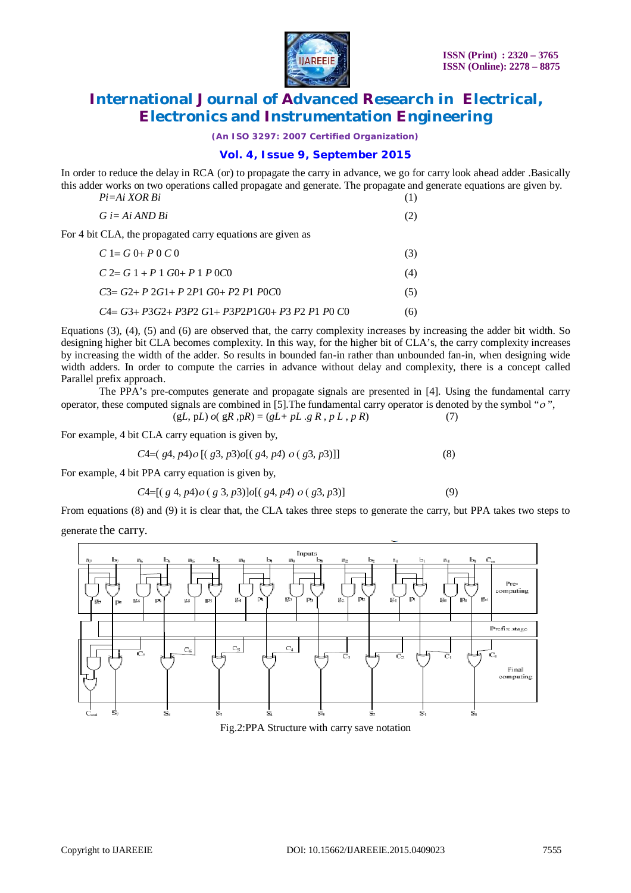

*(An ISO 3297: 2007 Certified Organization)*

## **Vol. 4, Issue 9, September 2015**

In order to reduce the delay in RCA (or) to propagate the carry in advance, we go for carry look ahead adder .Basically this adder works on two operations called propagate and generate. The propagate and generate equations are given by.

| $Pi = Ai XOR Bi$                                           |     |
|------------------------------------------------------------|-----|
| $G \equiv Ai \, AND \, Bi$                                 | (2) |
| For 4 bit CLA, the propagated carry equations are given as |     |
| $C = G 0 + P 0 C 0$                                        | (3) |
| $C \geq G 1 + P 1 G 0 + P 1 P 0 C 0$                       | (4) |
| $C3 = G2 + P2G1 + P2P1G0 + P2P1P0C0$                       | (5) |
| C4= G3+ P3G2+ P3P2 G1+ P3P2P1G0+ P3 P2 P1 P0 C0            | (6) |

Equations (3), (4), (5) and (6) are observed that, the carry complexity increases by increasing the adder bit width. So designing higher bit CLA becomes complexity. In this way, for the higher bit of CLA's, the carry complexity increases by increasing the width of the adder. So results in bounded fan-in rather than unbounded fan-in, when designing wide width adders. In order to compute the carries in advance without delay and complexity, there is a concept called Parallel prefix approach.

The PPA's pre-computes generate and propagate signals are presented in [4]. Using the fundamental carry operator, these computed signals are combined in [5]. The fundamental carry operator is denoted by the symbol " $o$ ".

$$
(gL, pL) o( gR, pR) = (gL + pL .g R, p L, p R)
$$
 (7)

For example, 4 bit CLA carry equation is given by,

$$
C4=(g4, p4) o [(g3, p3) o [(g4, p4) o (g3, p3) ]]
$$
\n(8)

For example, 4 bit PPA carry equation is given by,

$$
C4=[(\,g\ 4, p4) \, o\,(\,g\ 3, p3)] \, o[(\,g4, p4) \, o\,(\,g3, p3)] \tag{9}
$$

From equations (8) and (9) it is clear that, the CLA takes three steps to generate the carry, but PPA takes two steps to

generate the carry.



Fig.2:PPA Structure with carry save notation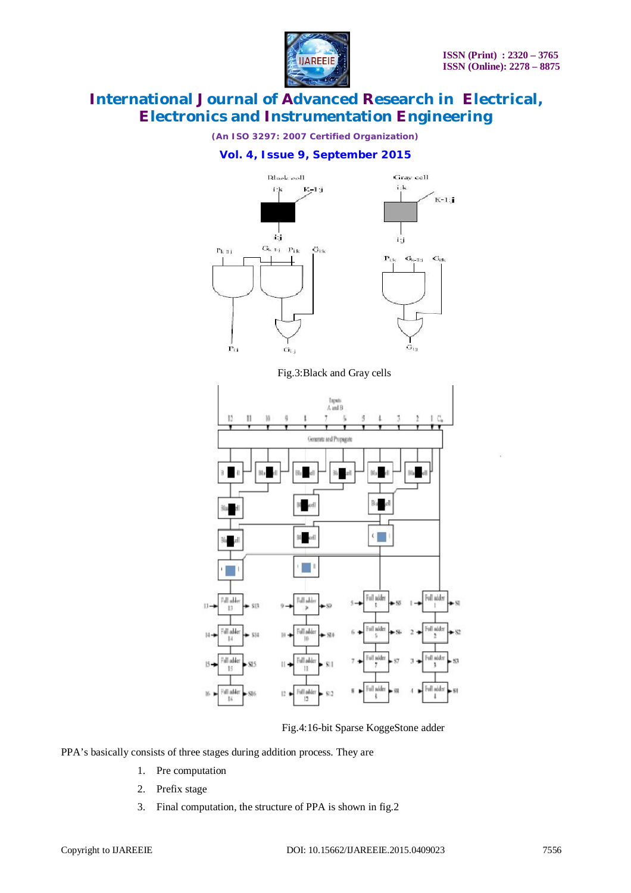

*(An ISO 3297: 2007 Certified Organization)*

## **Vol. 4, Issue 9, September 2015**



Fig.3:Black and Gray cells



Fig.4:16-bit Sparse KoggeStone adder

PPA's basically consists of three stages during addition process. They are

- 1. Pre computation
- 2. Prefix stage
- 3. Final computation, the structure of PPA is shown in fig.2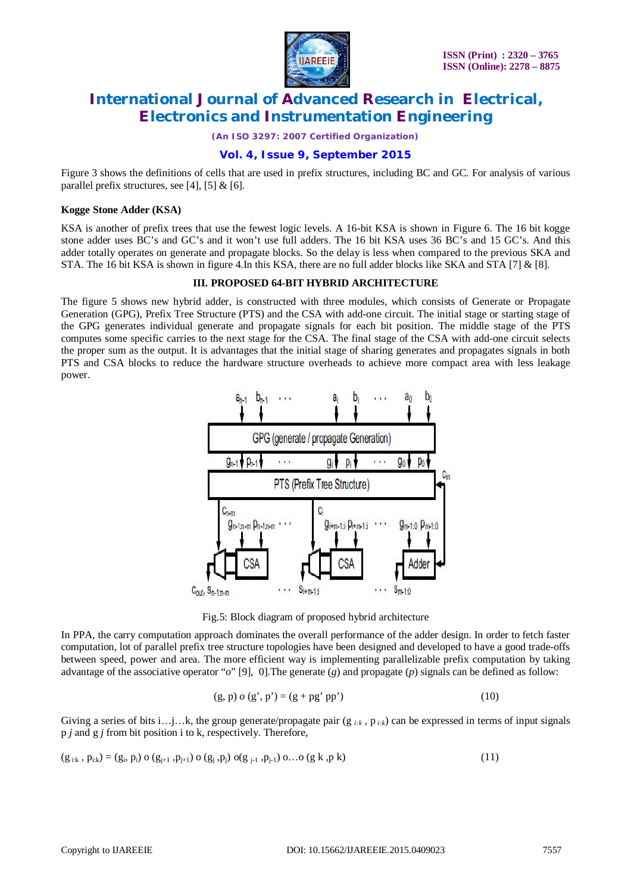

*(An ISO 3297: 2007 Certified Organization)*

## **Vol. 4, Issue 9, September 2015**

Figure 3 shows the definitions of cells that are used in prefix structures, including BC and GC. For analysis of various parallel prefix structures, see [4], [5]  $&$  [6].

#### **Kogge Stone Adder (KSA)**

KSA is another of prefix trees that use the fewest logic levels. A 16-bit KSA is shown in Figure 6. The 16 bit kogge stone adder uses BC's and GC's and it won't use full adders. The 16 bit KSA uses 36 BC's and 15 GC's. And this adder totally operates on generate and propagate blocks. So the delay is less when compared to the previous SKA and STA. The 16 bit KSA is shown in figure 4.In this KSA, there are no full adder blocks like SKA and STA [7] & [8].

### **III. PROPOSED 64-BIT HYBRID ARCHITECTURE**

The figure 5 shows new hybrid adder, is constructed with three modules, which consists of Generate or Propagate Generation (GPG), Prefix Tree Structure (PTS) and the CSA with add-one circuit. The initial stage or starting stage of the GPG generates individual generate and propagate signals for each bit position. The middle stage of the PTS computes some specific carries to the next stage for the CSA. The final stage of the CSA with add-one circuit selects the proper sum as the output. It is advantages that the initial stage of sharing generates and propagates signals in both PTS and CSA blocks to reduce the hardware structure overheads to achieve more compact area with less leakage power.



Fig.5: Block diagram of proposed hybrid architecture

In PPA, the carry computation approach dominates the overall performance of the adder design. In order to fetch faster computation, lot of parallel prefix tree structure topologies have been designed and developed to have a good trade-offs between speed, power and area. The more efficient way is implementing parallelizable prefix computation by taking advantage of the associative operator "*o*" [9], 0].The generate (*g*) and propagate (*p*) signals can be defined as follow:

$$
(g, p) o (g', p') = (g + pg' pp') \tag{10}
$$

Giving a series of bits i…j…k, the group generate/propagate pair  $(g_{ik}, p_{ik})$  can be expressed in terms of input signals p *j* and g *j* from bit position i to k, respectively. Therefore,

$$
(g_{i:k}, p_{i:k}) = (g_i, p_i) \circ (g_{j+1}, p_{j+1}) \circ (g_j, p_j) \circ (g_{j-1}, p_{j-1}) \circ \dots \circ (g_k, p_k)
$$
\n
$$
(11)
$$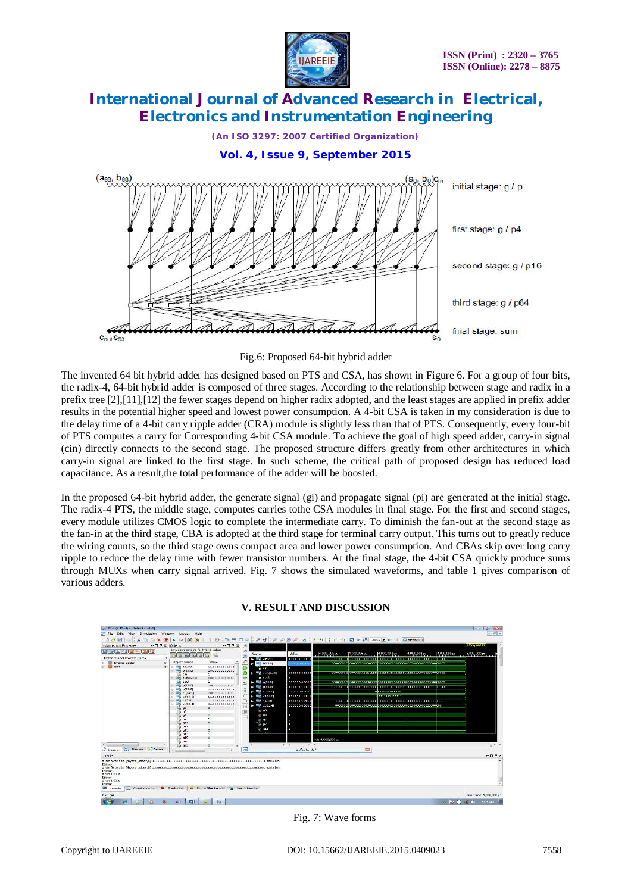

*(An ISO 3297: 2007 Certified Organization)*

**Vol. 4, Issue 9, September 2015**



Fig.6: Proposed 64-bit hybrid adder

The invented 64 bit hybrid adder has designed based on PTS and CSA, has shown in Figure 6. For a group of four bits, the radix-4, 64-bit hybrid adder is composed of three stages. According to the relationship between stage and radix in a prefix tree [2],[11],[12] the fewer stages depend on higher radix adopted, and the least stages are applied in prefix adder results in the potential higher speed and lowest power consumption. A 4-bit CSA is taken in my consideration is due to the delay time of a 4-bit carry ripple adder (CRA) module is slightly less than that of PTS. Consequently, every four-bit of PTS computes a carry for Corresponding 4-bit CSA module. To achieve the goal of high speed adder, carry-in signal (cin) directly connects to the second stage. The proposed structure differs greatly from other architectures in which carry-in signal are linked to the first stage. In such scheme, the critical path of proposed design has reduced load capacitance. As a result,the total performance of the adder will be boosted.

In the proposed 64-bit hybrid adder, the generate signal (gi) and propagate signal (pi) are generated at the initial stage. The radix-4 PTS, the middle stage, computes carries tothe CSA modules in final stage. For the first and second stages, every module utilizes CMOS logic to complete the intermediate carry. To diminish the fan-out at the second stage as the fan-in at the third stage, CBA is adopted at the third stage for terminal carry output. This turns out to greatly reduce the wiring counts, so the third stage owns compact area and lower power consumption. And CBAs skip over long carry ripple to reduce the delay time with fewer transistor numbers. At the final stage, the 4-bit CSA quickly produce sums through MUXs when carry signal arrived. Fig. 7 shows the simulated waveforms, and table 1 gives comparison of various adders.



### **V. RESULT AND DISCUSSION**

Fig. 7: Wave forms